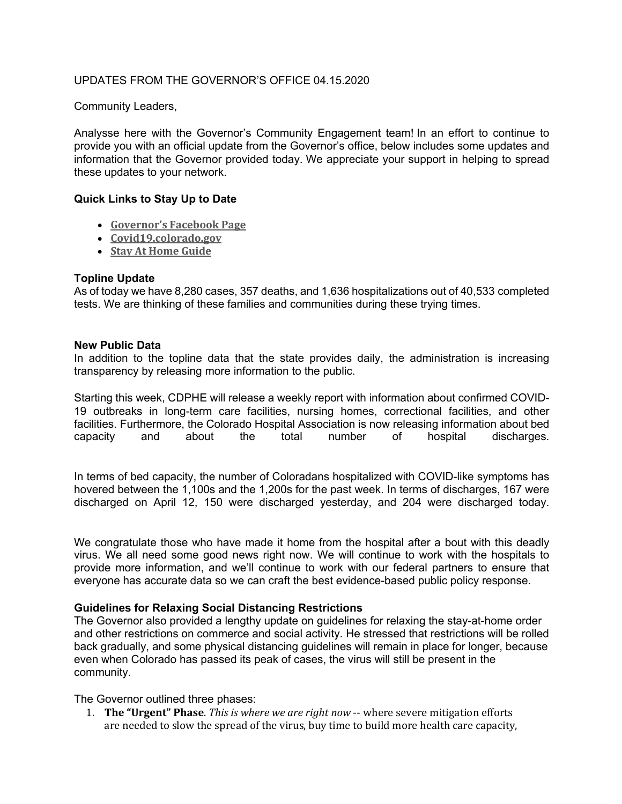## UPDATES FROM THE GOVERNOR'S OFFICE 04.15.2020

Community Leaders,

Analysse here with the Governor's Community Engagement team! In an effort to continue to provide you with an official update from the Governor's office, below includes some updates and information that the Governor provided today. We appreciate your support in helping to spread these updates to your network.

### **Quick Links to Stay Up to Date**

- **Governor's Facebook Page**
- **Covid19.colorado.gov**
- **Stay At Home Guide**

### **Topline Update**

As of today we have 8,280 cases, 357 deaths, and 1,636 hospitalizations out of 40,533 completed tests. We are thinking of these families and communities during these trying times.

### **New Public Data**

In addition to the topline data that the state provides daily, the administration is increasing transparency by releasing more information to the public.

Starting this week, CDPHE will release a weekly report with information about confirmed COVID-19 outbreaks in long-term care facilities, nursing homes, correctional facilities, and other facilities. Furthermore, the Colorado Hospital Association is now releasing information about bed capacity and about the total number of hospital discharges.

In terms of bed capacity, the number of Coloradans hospitalized with COVID-like symptoms has hovered between the 1,100s and the 1,200s for the past week. In terms of discharges, 167 were discharged on April 12, 150 were discharged yesterday, and 204 were discharged today.

We congratulate those who have made it home from the hospital after a bout with this deadly virus. We all need some good news right now. We will continue to work with the hospitals to provide more information, and we'll continue to work with our federal partners to ensure that everyone has accurate data so we can craft the best evidence-based public policy response.

### **Guidelines for Relaxing Social Distancing Restrictions**

The Governor also provided a lengthy update on guidelines for relaxing the stay-at-home order and other restrictions on commerce and social activity. He stressed that restrictions will be rolled back gradually, and some physical distancing guidelines will remain in place for longer, because even when Colorado has passed its peak of cases, the virus will still be present in the community.

The Governor outlined three phases:

1. **The "Urgent" Phase**. *This is where we are right now* -- where severe mitigation efforts are needed to slow the spread of the virus, buy time to build more health care capacity,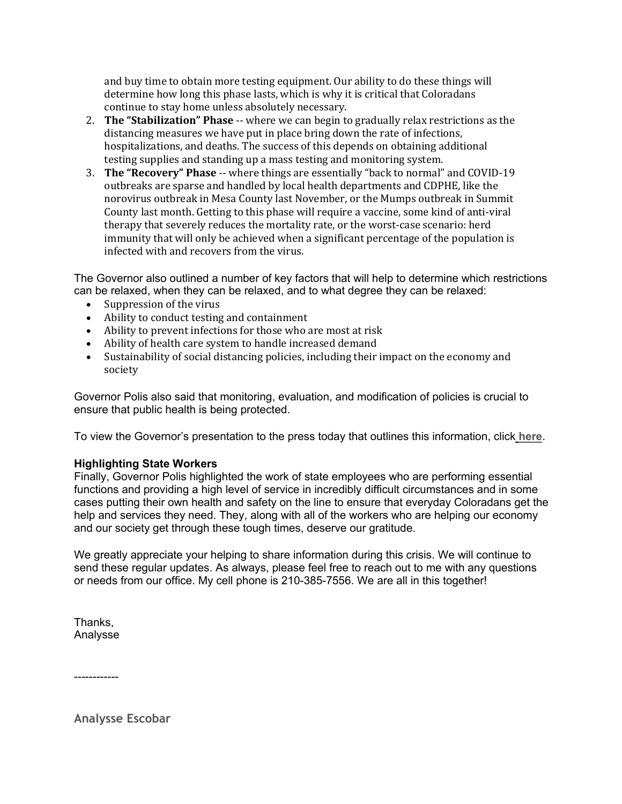and buy time to obtain more testing equipment. Our ability to do these things will determine how long this phase lasts, which is why it is critical that Coloradans continue to stay home unless absolutely necessary.

- 2. **The "Stabilization" Phase** -- where we can begin to gradually relax restrictions as the distancing measures we have put in place bring down the rate of infections, hospitalizations, and deaths. The success of this depends on obtaining additional testing supplies and standing up a mass testing and monitoring system.
- 3. **The "Recovery" Phase** -- where things are essentially "back to normal" and COVID-19 outbreaks are sparse and handled by local health departments and CDPHE, like the norovirus outbreak in Mesa County last November, or the Mumps outbreak in Summit County last month. Getting to this phase will require a vaccine, some kind of anti-viral therapy that severely reduces the mortality rate, or the worst-case scenario: herd immunity that will only be achieved when a significant percentage of the population is infected with and recovers from the virus.

The Governor also outlined a number of key factors that will help to determine which restrictions can be relaxed, when they can be relaxed, and to what degree they can be relaxed:

- Suppression of the virus
- Ability to conduct testing and containment
- Ability to prevent infections for those who are most at risk
- Ability of health care system to handle increased demand
- Sustainability of social distancing policies, including their impact on the economy and society

Governor Polis also said that monitoring, evaluation, and modification of policies is crucial to ensure that public health is being protected.

To view the Governor's presentation to the press today that outlines this information, click **here**.

# **Highlighting State Workers**

Finally, Governor Polis highlighted the work of state employees who are performing essential functions and providing a high level of service in incredibly difficult circumstances and in some cases putting their own health and safety on the line to ensure that everyday Coloradans get the help and services they need. They, along with all of the workers who are helping our economy and our society get through these tough times, deserve our gratitude.

We greatly appreciate your helping to share information during this crisis. We will continue to send these regular updates. As always, please feel free to reach out to me with any questions or needs from our office. My cell phone is 210-385-7556. We are all in this together!

Thanks, Analysse

------------

**Analysse Escobar**